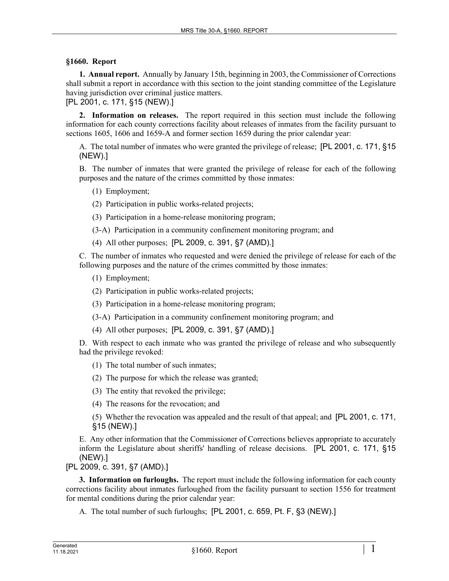## **§1660. Report**

**1. Annual report.** Annually by January 15th, beginning in 2003, the Commissioner of Corrections shall submit a report in accordance with this section to the joint standing committee of the Legislature having jurisdiction over criminal justice matters.

[PL 2001, c. 171, §15 (NEW).]

**2. Information on releases.** The report required in this section must include the following information for each county corrections facility about releases of inmates from the facility pursuant to sections 1605, 1606 and 1659-A and former section 1659 during the prior calendar year:

A. The total number of inmates who were granted the privilege of release; [PL 2001, c. 171, §15 (NEW).]

B. The number of inmates that were granted the privilege of release for each of the following purposes and the nature of the crimes committed by those inmates:

- (1) Employment;
- (2) Participation in public works-related projects;

(3) Participation in a home-release monitoring program;

- (3-A) Participation in a community confinement monitoring program; and
- (4) All other purposes; [PL 2009, c. 391, §7 (AMD).]

C. The number of inmates who requested and were denied the privilege of release for each of the following purposes and the nature of the crimes committed by those inmates:

- (1) Employment;
- (2) Participation in public works-related projects;
- (3) Participation in a home-release monitoring program;
- (3-A) Participation in a community confinement monitoring program; and
- (4) All other purposes; [PL 2009, c. 391, §7 (AMD).]

D. With respect to each inmate who was granted the privilege of release and who subsequently had the privilege revoked:

(1) The total number of such inmates;

(2) The purpose for which the release was granted;

(3) The entity that revoked the privilege;

(4) The reasons for the revocation; and

(5) Whether the revocation was appealed and the result of that appeal; and [PL 2001, c. 171, §15 (NEW).]

E. Any other information that the Commissioner of Corrections believes appropriate to accurately inform the Legislature about sheriffs' handling of release decisions. [PL 2001, c. 171, §15 (NEW).]

[PL 2009, c. 391, §7 (AMD).]

**3. Information on furloughs.** The report must include the following information for each county corrections facility about inmates furloughed from the facility pursuant to section 1556 for treatment for mental conditions during the prior calendar year:

A. The total number of such furloughs; [PL 2001, c. 659, Pt. F, §3 (NEW).]